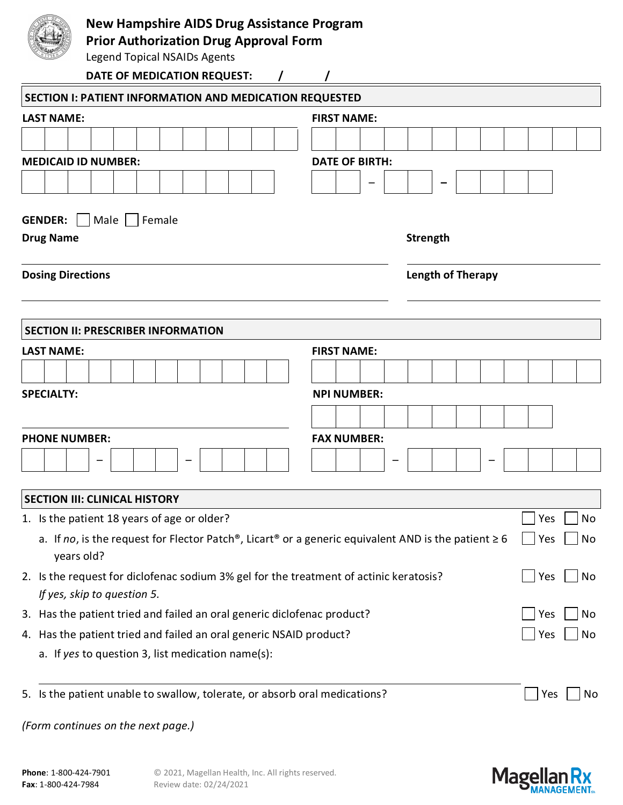| <b>Prior Authorization Drug Approval Form</b>                                                                                                   | <b>New Hampshire AIDS Drug Assistance Program</b> |                          |    |     |    |  |  |  |  |  |  |
|-------------------------------------------------------------------------------------------------------------------------------------------------|---------------------------------------------------|--------------------------|----|-----|----|--|--|--|--|--|--|
| <b>Legend Topical NSAIDs Agents</b>                                                                                                             |                                                   |                          |    |     |    |  |  |  |  |  |  |
| DATE OF MEDICATION REQUEST:                                                                                                                     |                                                   |                          |    |     |    |  |  |  |  |  |  |
| SECTION I: PATIENT INFORMATION AND MEDICATION REQUESTED                                                                                         |                                                   |                          |    |     |    |  |  |  |  |  |  |
| <b>LAST NAME:</b>                                                                                                                               | <b>FIRST NAME:</b>                                |                          |    |     |    |  |  |  |  |  |  |
|                                                                                                                                                 |                                                   |                          |    |     |    |  |  |  |  |  |  |
| <b>MEDICAID ID NUMBER:</b>                                                                                                                      | <b>DATE OF BIRTH:</b>                             |                          |    |     |    |  |  |  |  |  |  |
| Male     Female<br><b>GENDER:</b>                                                                                                               |                                                   |                          |    |     |    |  |  |  |  |  |  |
| <b>Drug Name</b>                                                                                                                                |                                                   |                          |    |     |    |  |  |  |  |  |  |
| <b>Dosing Directions</b>                                                                                                                        |                                                   | <b>Length of Therapy</b> |    |     |    |  |  |  |  |  |  |
|                                                                                                                                                 |                                                   |                          |    |     |    |  |  |  |  |  |  |
| <b>SECTION II: PRESCRIBER INFORMATION</b>                                                                                                       |                                                   |                          |    |     |    |  |  |  |  |  |  |
| <b>LAST NAME:</b>                                                                                                                               | <b>FIRST NAME:</b>                                |                          |    |     |    |  |  |  |  |  |  |
|                                                                                                                                                 |                                                   |                          |    |     |    |  |  |  |  |  |  |
| <b>SPECIALTY:</b>                                                                                                                               | <b>NPI NUMBER:</b>                                |                          |    |     |    |  |  |  |  |  |  |
|                                                                                                                                                 |                                                   |                          |    |     |    |  |  |  |  |  |  |
| <b>PHONE NUMBER:</b>                                                                                                                            |                                                   |                          |    |     |    |  |  |  |  |  |  |
|                                                                                                                                                 |                                                   |                          |    |     |    |  |  |  |  |  |  |
| <b>SECTION III: CLINICAL HISTORY</b>                                                                                                            |                                                   |                          |    |     |    |  |  |  |  |  |  |
| 1. Is the patient 18 years of age or older?                                                                                                     |                                                   |                          |    | Yes | No |  |  |  |  |  |  |
| a. If no, is the request for Flector Patch <sup>®</sup> , Licart <sup>®</sup> or a generic equivalent AND is the patient $\geq 6$<br>years old? | Yes                                               | No                       |    |     |    |  |  |  |  |  |  |
| 2. Is the request for diclofenac sodium 3% gel for the treatment of actinic keratosis?<br>If yes, skip to question 5.                           |                                                   | Yes                      | No |     |    |  |  |  |  |  |  |
| 3. Has the patient tried and failed an oral generic diclofenac product?                                                                         |                                                   | Yes                      | No |     |    |  |  |  |  |  |  |
| 4. Has the patient tried and failed an oral generic NSAID product?                                                                              |                                                   | Yes                      | No |     |    |  |  |  |  |  |  |
| a. If yes to question 3, list medication name(s):                                                                                               |                                                   |                          |    |     |    |  |  |  |  |  |  |
| 5. Is the patient unable to swallow, tolerate, or absorb oral medications?                                                                      |                                                   |                          |    | Yes | No |  |  |  |  |  |  |
| (Form continues on the next page.)                                                                                                              |                                                   |                          |    |     |    |  |  |  |  |  |  |